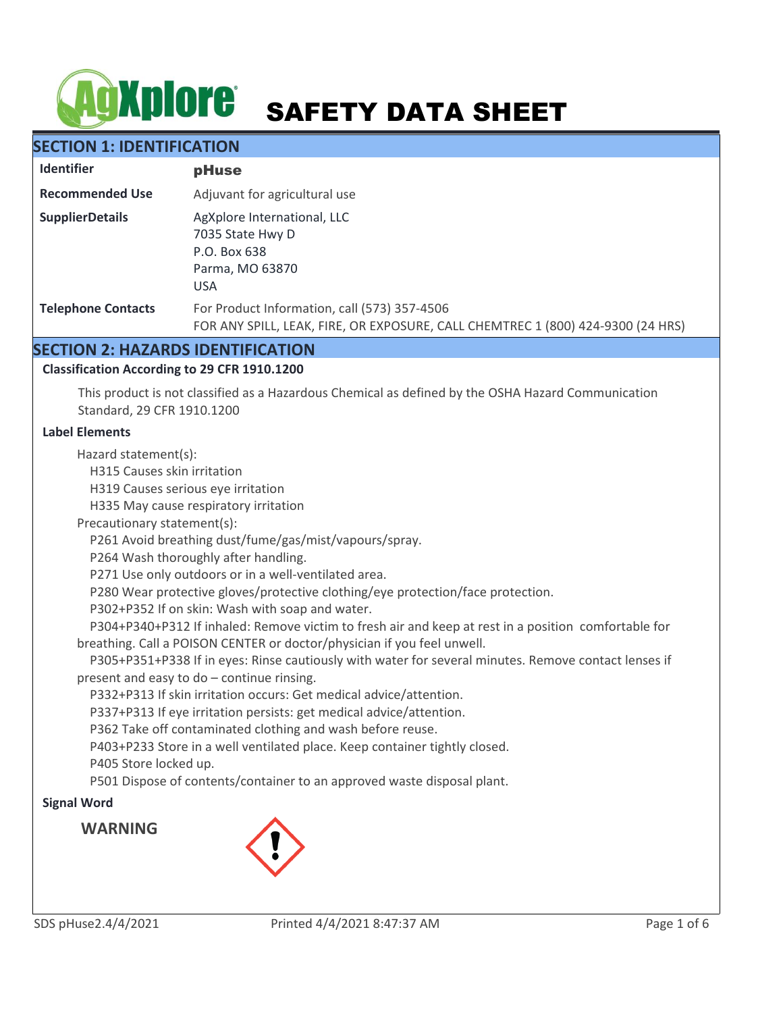# **AgXplore** SAFETY DATA SHEET

# **SECTION 1: IDENTIFICATION**

| <b>Identifier</b>         | pHuse                                                                                                                           |
|---------------------------|---------------------------------------------------------------------------------------------------------------------------------|
| <b>Recommended Use</b>    | Adjuvant for agricultural use                                                                                                   |
| <b>SupplierDetails</b>    | AgXplore International, LLC<br>7035 State Hwy D<br>P.O. Box 638<br>Parma, MO 63870<br><b>USA</b>                                |
| <b>Telephone Contacts</b> | For Product Information, call (573) 357-4506<br>FOR ANY SPILL, LEAK, FIRE, OR EXPOSURE, CALL CHEMTREC 1 (800) 424-9300 (24 HRS) |

# **SECTION 2: HAZARDS IDENTIFICATION**

## **Classification According to 29 CFR 1910.1200**

This product is not classified as a Hazardous Chemical as defined by the OSHA Hazard Communication Standard, 29 CFR 1910.1200

#### **Label Elements**

Hazard statement(s):

H315 Causes skin irritation

H319 Causes serious eye irritation

H335 May cause respiratory irritation

Precautionary statement(s):

P261 Avoid breathing dust/fume/gas/mist/vapours/spray.

P264 Wash thoroughly after handling.

P271 Use only outdoors or in a well-ventilated area.

P280 Wear protective gloves/protective clothing/eye protection/face protection.

P302+P352 If on skin: Wash with soap and water.

 P304+P340+P312 If inhaled: Remove victim to fresh air and keep at rest in a position comfortable for breathing. Call a POISON CENTER or doctor/physician if you feel unwell.

 P305+P351+P338 If in eyes: Rinse cautiously with water for several minutes. Remove contact lenses if present and easy to do – continue rinsing.

P332+P313 If skin irritation occurs: Get medical advice/attention.

P337+P313 If eye irritation persists: get medical advice/attention.

P362 Take off contaminated clothing and wash before reuse.

P403+P233 Store in a well ventilated place. Keep container tightly closed.

P405 Store locked up.

P501 Dispose of contents/container to an approved waste disposal plant.

## **Signal Word**

**WARNING**

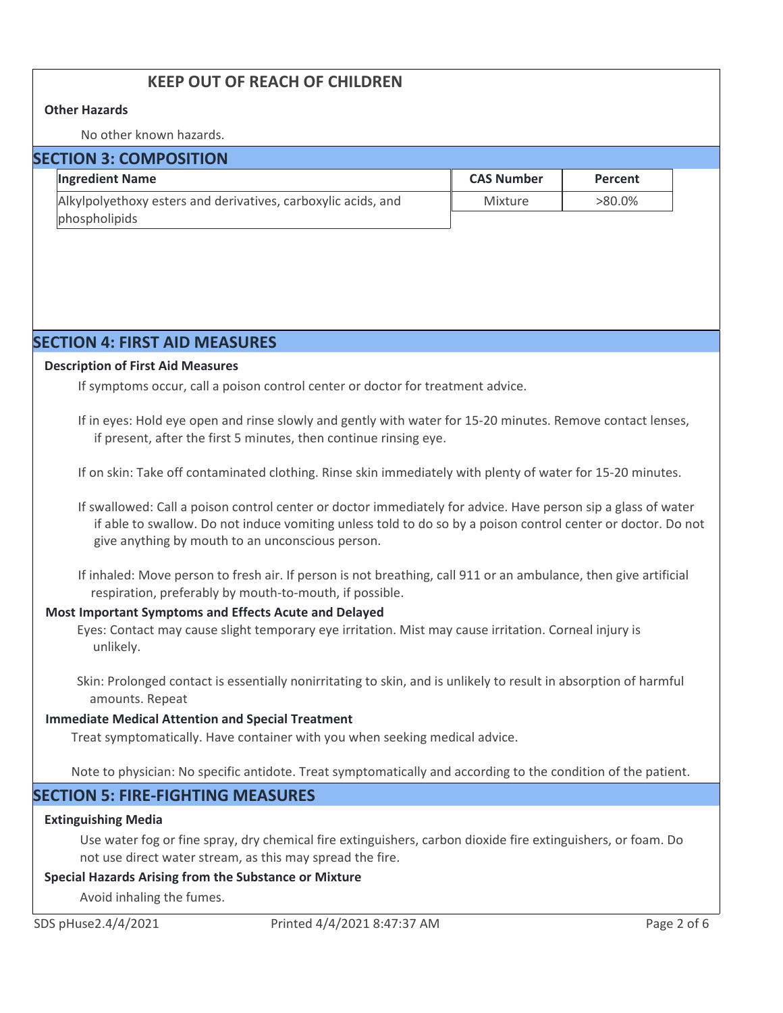# **KEEP OUT OF REACH OF CHILDREN**

#### **Other Hazards**

No other known hazards.

| <b>SECTION 3: COMPOSITION</b> |                                                               |                   |           |  |
|-------------------------------|---------------------------------------------------------------|-------------------|-----------|--|
|                               | <b>Ingredient Name</b>                                        | <b>CAS Number</b> | Percent   |  |
|                               | Alkylpolyethoxy esters and derivatives, carboxylic acids, and | Mixture           | $>80.0\%$ |  |
|                               | phospholipids                                                 |                   |           |  |

# **SECTION 4: FIRST AID MEASURES**

#### **Description of First Aid Measures**

If symptoms occur, call a poison control center or doctor for treatment advice.

If in eyes: Hold eye open and rinse slowly and gently with water for 15-20 minutes. Remove contact lenses, if present, after the first 5 minutes, then continue rinsing eye.

If on skin: Take off contaminated clothing. Rinse skin immediately with plenty of water for 15-20 minutes.

If swallowed: Call a poison control center or doctor immediately for advice. Have person sip a glass of water if able to swallow. Do not induce vomiting unless told to do so by a poison control center or doctor. Do not give anything by mouth to an unconscious person.

If inhaled: Move person to fresh air. If person is not breathing, call 911 or an ambulance, then give artificial respiration, preferably by mouth-to-mouth, if possible.

#### **Most Important Symptoms and Effects Acute and Delayed**

Eyes: Contact may cause slight temporary eye irritation. Mist may cause irritation. Corneal injury is unlikely.

Skin: Prolonged contact is essentially nonirritating to skin, and is unlikely to result in absorption of harmful amounts. Repeat

#### **Immediate Medical Attention and Special Treatment**

Treat symptomatically. Have container with you when seeking medical advice.

Note to physician: No specific antidote. Treat symptomatically and according to the condition of the patient.

# **SECTION 5: FIRE-FIGHTING MEASURES**

#### **Extinguishing Media**

Use water fog or fine spray, dry chemical fire extinguishers, carbon dioxide fire extinguishers, or foam. Do not use direct water stream, as this may spread the fire.

#### **Special Hazards Arising from the Substance or Mixture**

Avoid inhaling the fumes.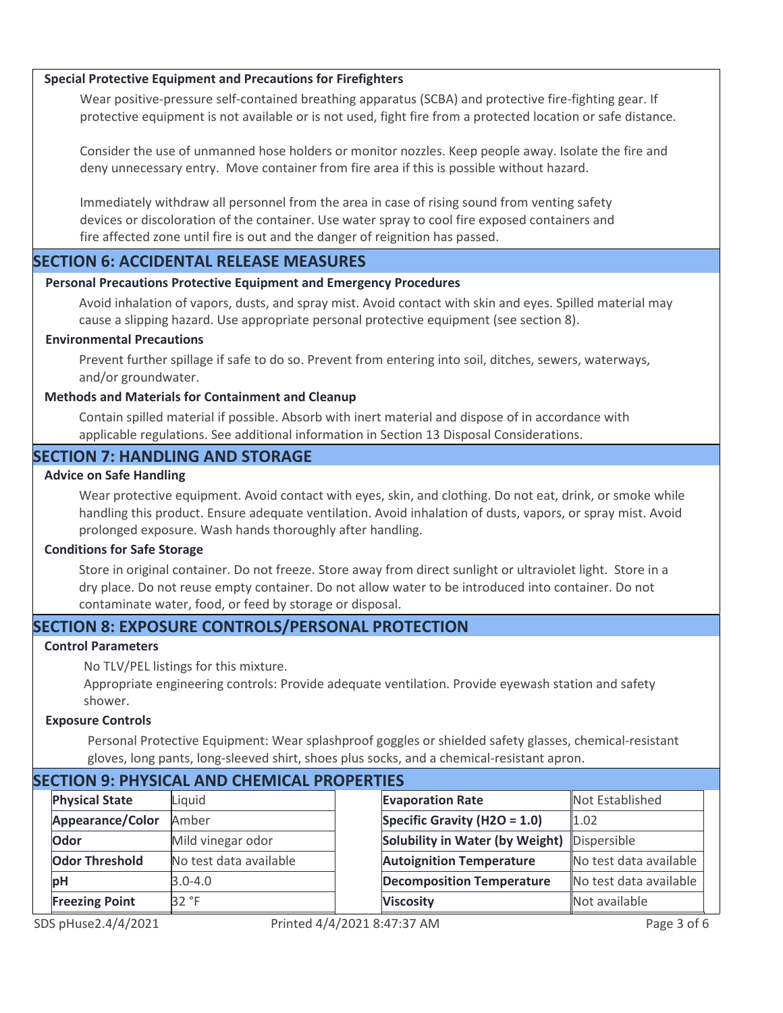#### **Special Protective Equipment and Precautions for Firefighters**

Wear positive-pressure self-contained breathing apparatus (SCBA) and protective fire-fighting gear. If protective equipment is not available or is not used, fight fire from a protected location or safe distance.

Consider the use of unmanned hose holders or monitor nozzles. Keep people away. Isolate the fire and deny unnecessary entry. Move container from fire area if this is possible without hazard.

Immediately withdraw all personnel from the area in case of rising sound from venting safety devices or discoloration of the container. Use water spray to cool fire exposed containers and fire affected zone until fire is out and the danger of reignition has passed.

## **SECTION 6: ACCIDENTAL RELEASE MEASURES**

#### **Personal Precautions Protective Equipment and Emergency Procedures**

Avoid inhalation of vapors, dusts, and spray mist. Avoid contact with skin and eyes. Spilled material may cause a slipping hazard. Use appropriate personal protective equipment (see section 8).

## **Environmental Precautions**

Prevent further spillage if safe to do so. Prevent from entering into soil, ditches, sewers, waterways, and/or groundwater.

#### **Methods and Materials for Containment and Cleanup**

Contain spilled material if possible. Absorb with inert material and dispose of in accordance with applicable regulations. See additional information in Section 13 Disposal Considerations.

## **SECTION 7: HANDLING AND STORAGE**

#### **Advice on Safe Handling**

Wear protective equipment. Avoid contact with eyes, skin, and clothing. Do not eat, drink, or smoke while handling this product. Ensure adequate ventilation. Avoid inhalation of dusts, vapors, or spray mist. Avoid prolonged exposure. Wash hands thoroughly after handling.

#### **Conditions for Safe Storage**

Store in original container. Do not freeze. Store away from direct sunlight or ultraviolet light. Store in a dry place. Do not reuse empty container. Do not allow water to be introduced into container. Do not contaminate water, food, or feed by storage or disposal.

# **SECTION 8: EXPOSURE CONTROLS/PERSONAL PROTECTION**

#### **Control Parameters**

No TLV/PEL listings for this mixture.

Appropriate engineering controls: Provide adequate ventilation. Provide eyewash station and safety shower.

#### **Exposure Controls**

Personal Protective Equipment: Wear splashproof goggles or shielded safety glasses, chemical-resistant gloves, long pants, long-sleeved shirt, shoes plus socks, and a chemical-resistant apron.

| SECTION 9. FITTSICAL AND CHEMICAL PROPERTIES |                        |  |                                  |                        |
|----------------------------------------------|------------------------|--|----------------------------------|------------------------|
| <b>Physical State</b>                        | Liquid                 |  | <b>Evaporation Rate</b>          | Not Established        |
| Appearance/Color                             | Amber                  |  | Specific Gravity (H2O = 1.0)     | 1.02                   |
| Odor                                         | Mild vinegar odor      |  | Solubility in Water (by Weight)  | Dispersible            |
| <b>Odor Threshold</b>                        | No test data available |  | <b>Autoignition Temperature</b>  | No test data available |
| pH                                           | $3.0 - 4.0$            |  | <b>Decomposition Temperature</b> | No test data available |
| <b>Freezing Point</b>                        | 32 °F                  |  | <b>Viscosity</b>                 | Not available          |
|                                              |                        |  |                                  |                        |

# **SECTION 9: PHYSICAL AND CHEMICAL PROPERTIES**

Closed Cup 102 °C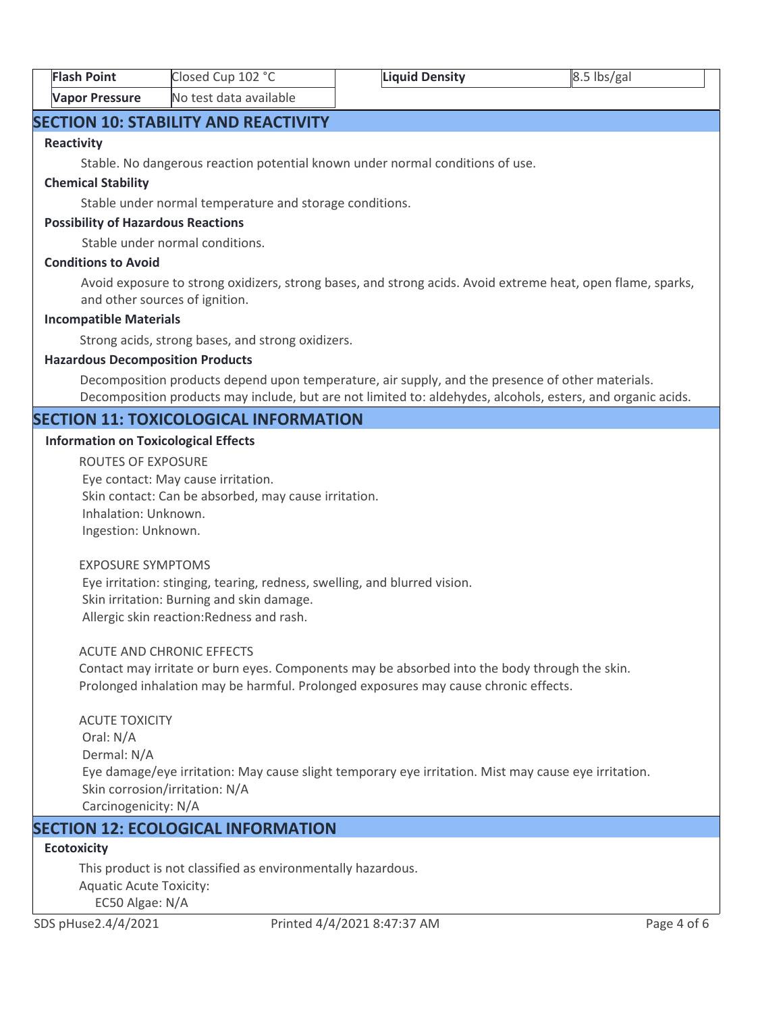| <b>Flash Point</b>    | Closed Cup 102 °C      | Liquid Density | $8.5$ lbs/gal |  |
|-----------------------|------------------------|----------------|---------------|--|
| <b>Vapor Pressure</b> | No test data available |                |               |  |

# **SECTION 10: STABILITY AND REACTIVITY**

#### **Reactivity**

Stable. No dangerous reaction potential known under normal conditions of use.

#### **Chemical Stability**

Stable under normal temperature and storage conditions.

#### **Possibility of Hazardous Reactions**

Stable under normal conditions.

#### **Conditions to Avoid**

Avoid exposure to strong oxidizers, strong bases, and strong acids. Avoid extreme heat, open flame, sparks, and other sources of ignition.

#### **Incompatible Materials**

Strong acids, strong bases, and strong oxidizers.

#### **Hazardous Decomposition Products**

Decomposition products depend upon temperature, air supply, and the presence of other materials. Decomposition products may include, but are not limited to: aldehydes, alcohols, esters, and organic acids.

# **SECTION 11: TOXICOLOGICAL INFORMATION**

#### **Information on Toxicological Effects**

ROUTES OF EXPOSURE Eye contact: May cause irritation. Skin contact: Can be absorbed, may cause irritation. Inhalation: Unknown. Ingestion: Unknown.

#### EXPOSURE SYMPTOMS

 Eye irritation: stinging, tearing, redness, swelling, and blurred vision. Skin irritation: Burning and skin damage. Allergic skin reaction:Redness and rash.

#### ACUTE AND CHRONIC EFFECTS

Contact may irritate or burn eyes. Components may be absorbed into the body through the skin. Prolonged inhalation may be harmful. Prolonged exposures may cause chronic effects.

ACUTE TOXICITY Oral: N/A Dermal: N/A Eye damage/eye irritation: May cause slight temporary eye irritation. Mist may cause eye irritation. Skin corrosion/irritation: N/A Carcinogenicity: N/A

# **SECTION 12: ECOLOGICAL INFORMATION**

# **Ecotoxicity**

This product is not classified as environmentally hazardous. Aquatic Acute Toxicity: EC50 Algae: N/A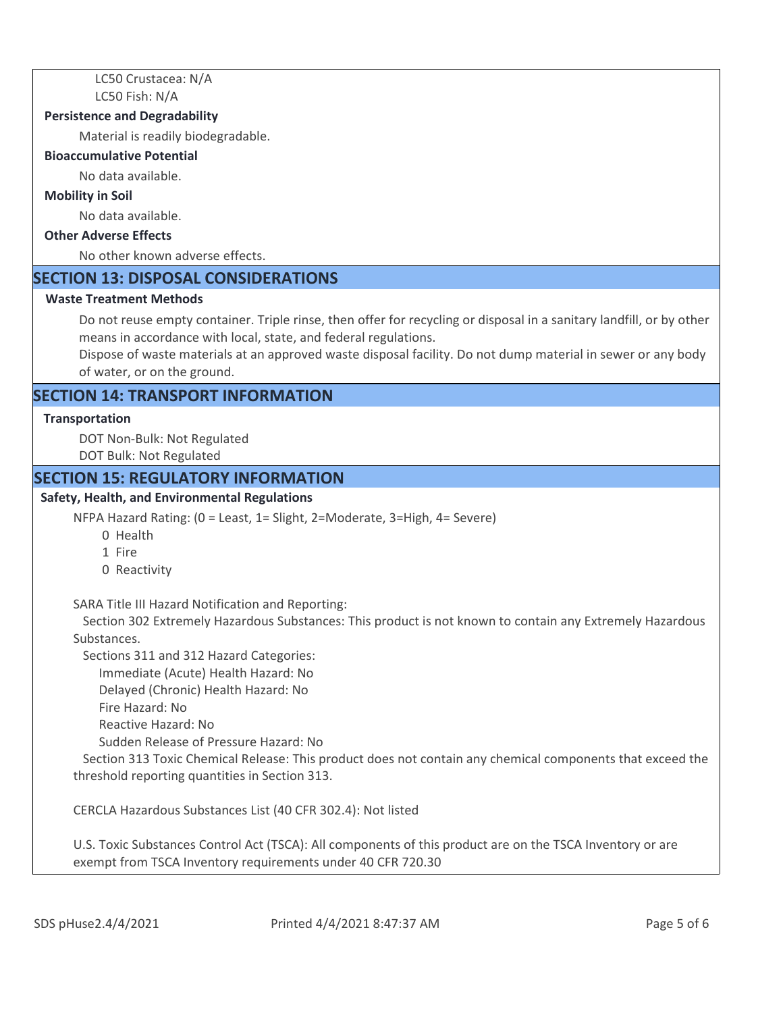LC50 Crustacea: N/A LC50 Fish: N/A

#### **Persistence and Degradability**

Material is readily biodegradable.

#### **Bioaccumulative Potential**

No data available.

#### **Mobility in Soil**

No data available.

## **Other Adverse Effects**

No other known adverse effects.

## **SECTION 13: DISPOSAL CONSIDERATIONS**

#### **Waste Treatment Methods**

Do not reuse empty container. Triple rinse, then offer for recycling or disposal in a sanitary landfill, or by other means in accordance with local, state, and federal regulations.

Dispose of waste materials at an approved waste disposal facility. Do not dump material in sewer or any body of water, or on the ground.

# **SECTION 14: TRANSPORT INFORMATION**

#### **Transportation**

DOT Non-Bulk: Not Regulated DOT Bulk: Not Regulated

#### **SECTION 15: REGULATORY INFORMATION**

#### **Safety, Health, and Environmental Regulations**

NFPA Hazard Rating: (0 = Least, 1= Slight, 2=Moderate, 3=High, 4= Severe)

- 0 Health
- 1 Fire
- 0 Reactivity

SARA Title III Hazard Notification and Reporting:

 Section 302 Extremely Hazardous Substances: This product is not known to contain any Extremely Hazardous Substances.

Sections 311 and 312 Hazard Categories:

Immediate (Acute) Health Hazard: No

Delayed (Chronic) Health Hazard: No

- Fire Hazard: No
- Reactive Hazard: No

Sudden Release of Pressure Hazard: No

 Section 313 Toxic Chemical Release: This product does not contain any chemical components that exceed the threshold reporting quantities in Section 313.

CERCLA Hazardous Substances List (40 CFR 302.4): Not listed

U.S. Toxic Substances Control Act (TSCA): All components of this product are on the TSCA Inventory or are exempt from TSCA Inventory requirements under 40 CFR 720.30